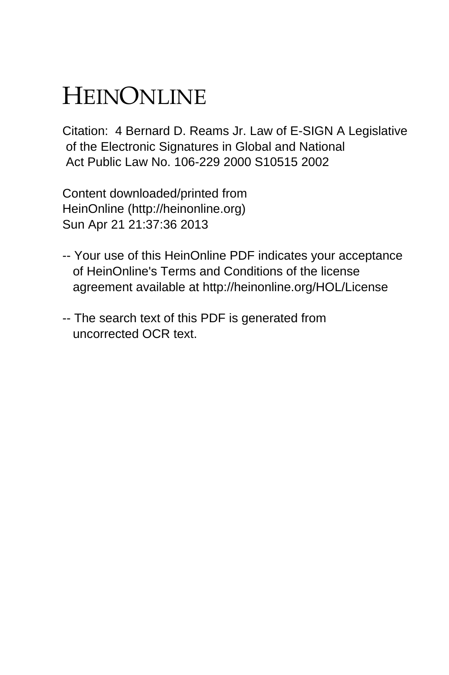## HEINONLINE

Citation: 4 Bernard D. Reams Jr. Law of E-SIGN A Legislative of the Electronic Signatures in Global and National Act Public Law No. 106-229 2000 S10515 2002

Content downloaded/printed from HeinOnline (http://heinonline.org) Sun Apr 21 21:37:36 2013

- -- Your use of this HeinOnline PDF indicates your acceptance of HeinOnline's Terms and Conditions of the license agreement available at http://heinonline.org/HOL/License
- -- The search text of this PDF is generated from uncorrected OCR text.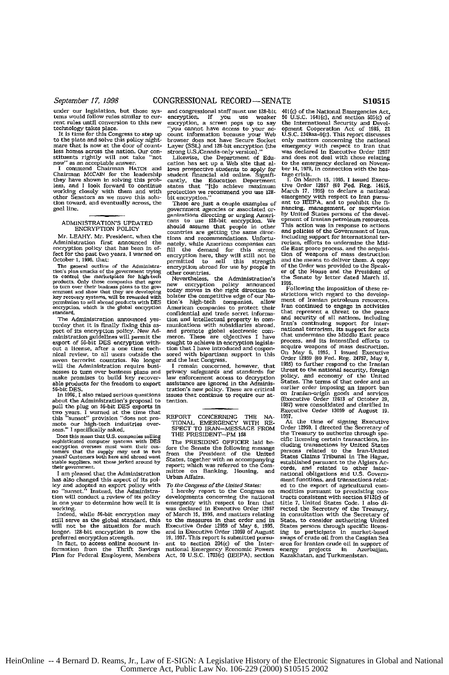mare that is now at the door of count- Layer (SSL) and 128-bit encryption (the<br>less homes across the nation. Our con- strong U.S./Canada-only version)."<br>stituents rightly will not take "not - Likewise, the Department of Ed

working closely with them and with protection we recommend you use 128-<br>other Senators as we move this solu- bit encryption."<br>then toward, and eventually across, the These are just a couple examples of tlon toward, and eventually across, the These are just a couple **examples** of goal line. government agencies or associated or-

Administration first announced the mately, while American companies can<br>encryption policy that has been in ef-<br>fight the demand for this strong<br>fect for the past two years, I warned on encryption here, they will still not

Fect for the past two years, I warned on encryption here, they will still not be<br>cober 1, 1996, that:<br>
Fect for the past two years, I warned on encryption here, they will still not be<br>
October 1, 1996, that:<br>
The general o ent and show that they are developing<br>the eright direction *to* self-competitive direction<br>*the permission to* self-competitive edge of our **Na-**<br>entryption, which is the global encryption

terday that it is finally fixing this as- munications with subsidiaries abroad, export of 5-bit **DES** encryption with- sought to achieve in encryption legisla-out a license, after a one time tech- tion that I have introduced and cosponnical review, to all users outside the sored with bipartisan support in this seven terrorist countries. No longer will the Administration require busiwill the Administration require busi-I remain concerned, however, that<br>nesses to turn over business plans and privacy safeguards and standards for<br>make promises to build key recover-law enforcement access to decryption

In 1996, I also raised serious questions issues that 1996, I also raised serious questions issues that the Administration's proposal to **require to relate** about the Administration's proposal to tention. pull the plug on 5-bit DES exports in two years. I warned at the time that<br>this "sunset" provision "does not pro-REPORT CONCERNING THE NA-<br>mote our high-tech industries over-<br>seas," I specifically asked, SPECT TO IRAN-MESSAGE FROM<br>seas," I specifically asked,

consume mean unit u.s. companies seling a series of the SERISIDING OFFICER laid be-<br>sophisticated computer systems with DES The PRESIDING OFFICER laid be-<br>encryption oversess must varia their cus-<br>for the Senate the follo

has also changed this aspect of its poletional means.<br>icy and adopted an export policy with To the Congress of the United States: icy and adopted an export policy with *To the Congress of the United States:* no "sunset." Instead, the Administra- I hereby report to the Congress on no "sunset." Instead, the Administra-I hereby report to the Congress on tion will conduct a review of its policy developments concerning the national in one year to determine how well it is emergency with respect to Iran t

still serve as the global standard, this to the measures in that order and in<br>still serve as the global standard, this to the measures in that order and ir<br>will not be the situation for much Executive Order 1289 of May 6,

formation from the Thrift Savings national Emergency Economic Powers Plan for Federal Employees, Members Act, **50** U.S.C. 1703(c) (IEEPA), section

under our legislation, but those sys- and congressional staff must use 128-bi<br>tems would follow rules similar to cur- encryption. If you use weaker rent rules until conversion to this new encryption, a screen pops up to say<br>technology takes place.<br>It is time for this Congress to step up count information because your Web<br>It is time for this Congress to step up count i the have access to your actional solve this congress to step up count information because your Web<br>to the plate and solve this policy night- browser does not have Secure Socket<br>mare that is now at the door of count-<br>mare t

stituents rightly will not take "not Likewise, the Department of Edu-<br>now" as an acceptable answer.<br>I commend Chairman HATCH and lows prospective students to apply for<br>Chairman McCARN for the leadership student financial a shown in solving the matrix and lows prospective students to apply for<br>The commend Chairman HATCH and lows prospective students to apply for<br>they have shown in solving this prob- cantly, the Education Department<br>lem, and I

ganizations directing or urging Ameri-<br>cans to use 128-bit encryption. We ADMINISTRATION'S UPDATED cans to use 128-bit encryption. We ENCRYPTION POLICY should assume that people in other<br>countries are getting the same direc-Mr. LEAHY. Mr. President, when the tions and recommendations. Unfortu-<br>Administration first announced the nately, while American companies can<br>encyption policy that has been in ef- $\frac{1}{611}$ , the demand for this strong

permission to sell abroad products with the tech competitive edge of our Na-<br>permission to sell abroad products with DES trion's high-tech companies, allow<br>encryption. which is the global encryption American companies to p tion and intellectual property in com-<br>munications with subsidiaries abroad, munications with substanties abroad,<br>and promote global electronic com-<br>merce. These are objectives I have<br>sought to achieve in encryption legisla-<br>tion that I have introduced and cospon-

make promises to build key recover- law enforcement access to decryption<br>able products for the freedom to export assistance are ignored in the Adminis-<br>56-bit DES.<br>In 1996, I also raised serious questions issues that conti

## ms "sunset" provision "does not provide REPORT CONCERNING THE NA-<br>note our high-tech industries over-TONAL EMERGENCY WITH RE-<br>eas." I specifically asked,<br>Does this mean that U.S. companies selling THE PRESIDENT-PM 158<br>Does

I am pleased that the Administration mittee on Banking, Housing, **and** a close the age of this connect of *its* and **Urban Affairs**.

was declared in Executive Order 12957<br>Indeed, while 56-bit encryption may of March 15, 1995, and matters relating but stave as the given a memory much. Executive Order 12959 of May 6, 1995. longer. 128-bit encryption is now the and in Executive Order is submitted pursu-<br>preferred encryption strength. 19, 1997. This report is submitted

401 (c) of the National Emergencies Act. **50** U.S.C. 1641(c), and section 505(c) of the International Security **and** Devel-opmest Cooperation Act of **1985,** 22 U.S.C. 2349an-9(c). This report discusses only matters concerning the national emergency with respect to Iran that was declared in Executive Order **1257 nd** does not deal with those relating to the emergency declared on Novem-<br>ber 14, 1979, in connection with the hos-

ber 14, 1979, in connection with the hos-<br>tage crisis.<br>I. On March 15, 1995, I issued Execu-<br>tive Order 12957 (60 Fed. Reg. 14615,<br>March 17, 1995) to declare a national emergency with respect to Iran pursu-<br>ant to **JEEPA**, and to prohibit the fi-<br>nancing, management, or supervision<br>by United States persons of the development of Iranian petroleum resources. This action was in response to actions and policies of the Government of Iran. including support for international terrorism, efforts to undermine the Middle East peace process, **and** the acquisi-tion of weapons **of** mass destruction **and** the means to deliver them. A copy of the Order was provided to the Speaker of the House and the President of the Senate by letter dated March **15,**

**1995.** Following the imposition of these restrictions with regard to the develop<br>ment of Iranian petroleum resources Iran continued to engage in activities that represent a threat to the peace and security of all nations, including Iran's continuing support for inter-national terrorism. its support for acts that undermine the Middle East peace process, and its intensified efforts to acquire weapons of mass destruction. On May **6, l995,** I issued Executive Order **12959 (6** Fed. Reg. **24757.** May **9, 1995)** to further respond to the Iranian threat to the national security, foreign policy, and economy of the United States. The terms of that order and an earlier order imposing an import ban on Iranian-origin goods and services (Executive Order 12813 of October **29, 1987)** were consolidated and clarified In Executive Order **13059** of August 19. **1997.**

At the time of signing Executive Order **12959, 1** directed the Secretary of the Treasury to authorize through specific licensing certain transactions, Including transactions by United States persons related to the Iran-United States Claims Tribunal in The Hague, established pursuant to the Algiers Ac-<br>cords, and related to other inter-<br>national obligations and U.S. Govern-<br>ment functions, and transactions related to the export of agricultural commodities pursuant **to** preexisting con-tracts consistent with section **5712(c)** of title **7,** United States Code. I also di-rected the Secretary of the Treasury, in consultation with the Secretary of State, to consider authorizing United States persons through specific licensing **to** participate in market-based swaps of crude oil from the Caspian Sea area for Iranian crude oil in support of energy projects in Azerbaijan, energy projects in Azer<br>Kazakhstan, and Turkmenistan.

HeinOnline -- 4 Bernard D. Reams, Jr., Law of E-SIGN: A Legislative History of the Electronic Signatures in Global and National Commerce Act, Public Law No. 106-229 (2000) S10515 2002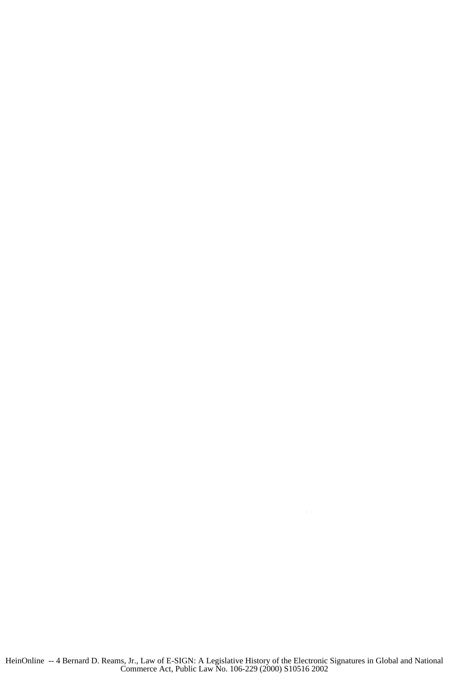HeinOnline -- 4 Bernard D. Reams, Jr., Law of E-SIGN: A Legislative History of the Electronic Signatures in Global and National Commerce Act, Public Law No. 106-229 (2000) S10516 2002

 $\lambda$